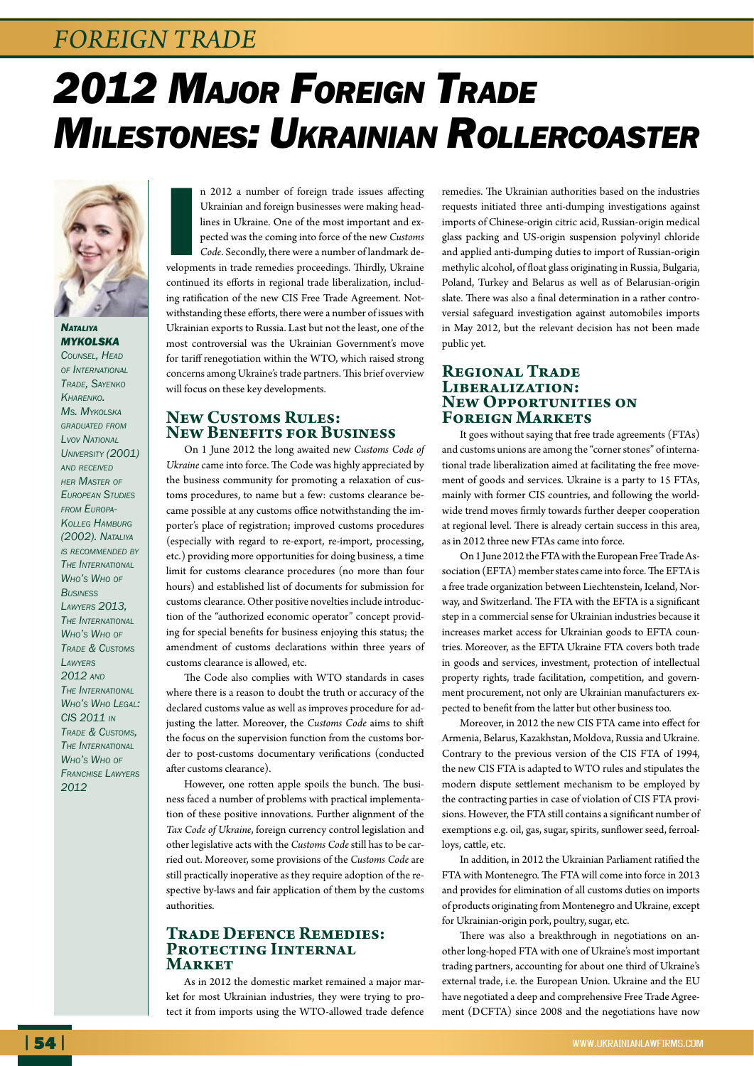## *Foreign Trade*

# *2012 Major Foreign Trade Milestones: Ukrainian Rollercoaster*



*Mykolska Counsel, Head of International Trade, Sayenko Kharenko. Ms. Mykolska graduated from Lvov National University (2001) and received her Master of European Studies from Europa-Kolleg Hamburg (2002). Nataliya is recommended by The International Who's Who of Business Lawyers 2013, The International Who's Who of Trade & Customs Lawyers 2012 and The International Who's Who Legal: CIS 2011 in Trade & Customs, The International Who's Who of Franchise Lawyers 2012*

I 2012 a number of foreign thate issues anceting<br>Ukrainian and foreign businesses were making head-<br>lines in Ukraine. One of the most important and ex-<br>pected was the coming into force of the new Customs<br>Code. Secondly, th n 2012 a number of foreign trade issues affecting Ukrainian and foreign businesses were making headlines in Ukraine. One of the most important and expected was the coming into force of the new *Customs Code*. Secondly, there were a number of landmark decontinued its efforts in regional trade liberalization, including ratification of the new CIS Free Trade Agreement. Notwithstanding these efforts, there were a number of issues with Ukrainian exports to Russia. Last but not the least, one of the most controversial was the Ukrainian Government's move for tariff renegotiation within the WTO, which raised strong concerns among Ukraine's trade partners. This brief overview will focus on these key developments.

#### **New Customs Rules: New Benefits for Business**

On 1 June 2012 the long awaited new *Customs Code of Ukraine* came into force. The Code was highly appreciated by the business community for promoting a relaxation of customs procedures, to name but a few: customs clearance became possible at any customs office notwithstanding the importer's place of registration; improved customs procedures (especially with regard to re-export, re-import, processing, etc.) providing more opportunities for doing business, a time limit for customs clearance procedures (no more than four hours) and established list of documents for submission for customs clearance. Other positive novelties include introduction of the "authorized economic operator" concept providing for special benefits for business enjoying this status; the amendment of customs declarations within three years of customs clearance is allowed, etc.

The Code also complies with WTO standards in cases where there is a reason to doubt the truth or accuracy of the declared customs value as well as improves procedure for adjusting the latter. Moreover, the *Customs Code* aims to shift the focus on the supervision function from the customs border to post-customs documentary verifications (conducted after customs clearance).

However, one rotten apple spoils the bunch. The business faced a number of problems with practical implementation of these positive innovations. Further alignment of the *Tax Code of Ukraine*, foreign currency control legislation and other legislative acts with the *Customs Code* still has to be carried out. Moreover, some provisions of the *Customs Code* are still practically inoperative as they require adoption of the respective by-laws and fair application of them by the customs authorities.

#### **Trade Defence Remedies: Protecting Iinternal Market**

As in 2012 the domestic market remained a major market for most Ukrainian industries, they were trying to protect it from imports using the WTO-allowed trade defence

remedies. The Ukrainian authorities based on the industries requests initiated three anti-dumping investigations against imports of Chinese-origin citric acid, Russian-origin medical glass packing and US-origin suspension polyvinyl chloride and applied anti-dumping duties to import of Russian-origin methylic alcohol, of float glass originating in Russia, Bulgaria, Poland, Turkey and Belarus as well as of Belarusian-origin slate. There was also a final determination in a rather controversial safeguard investigation against automobiles imports in May 2012, but the relevant decision has not been made public yet.

#### **Regional Trade Liberalization: New Opportunities on Foreign Markets**

It goes without saying that free trade agreements (FTAs) and customs unions are among the "corner stones" of international trade liberalization aimed at facilitating the free movement of goods and services. Ukraine is a party to 15 FTAs, mainly with former CIS countries, and following the worldwide trend moves firmly towards further deeper cooperation at regional level. There is already certain success in this area, as in 2012 three new FTAs came into force.

On 1 June 2012 the FTA with the European Free Trade Association (EFTA) member states came into force. The EFTA is a free trade organization between Liechtenstein, Iceland, Norway, and Switzerland. The FTA with the EFTA is a significant step in a commercial sense for Ukrainian industries because it increases market access for Ukrainian goods to EFTA countries. Moreover, as the EFTA Ukraine FTA covers both trade in goods and services, investment, protection of intellectual property rights, trade facilitation, competition, and government procurement, not only are Ukrainian manufacturers expected to benefit from the latter but other business too.

Moreover, in 2012 the new CIS FTA came into effect for Armenia, Belarus, Kazakhstan, Moldova, Russia and Ukraine. Contrary to the previous version of the CIS FTA of 1994, the new CIS FTA is adapted to WTO rules and stipulates the modern dispute settlement mechanism to be employed by the contracting parties in case of violation of CIS FTA provisions. However, the FTA still contains a significant number of exemptions e.g. oil, gas, sugar, spirits, sunflower seed, ferroalloys, cattle, etc.

In addition, in 2012 the Ukrainian Parliament ratified the FTA with Montenegro. The FTA will come into force in 2013 and provides for elimination of all customs duties on imports of products originating from Montenegro and Ukraine, except for Ukrainian-origin pork, poultry, sugar, etc.

There was also a breakthrough in negotiations on another long-hoped FTA with one of Ukraine's most important trading partners, accounting for about one third of Ukraine's external trade, i.e. the European Union. Ukraine and the EU have negotiated a deep and comprehensive Free Trade Agreement (DCFTA) since 2008 and the negotiations have now